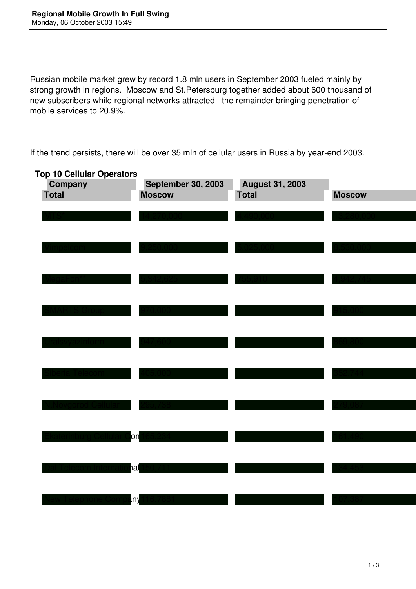Russian mobile market grew by record 1.8 mln users in September 2003 fueled mainly by strong growth in regions. Moscow and St.Petersburg together added about 600 thousand of new subscribers while regional networks attracted the remainder bringing penetration of mobile services to 20.9%.

If the trend persists, there will be over 35 mln of cellular users in Russia by year-end 2003.

| <b>Top 10 Cellular Operators</b> |                           |                        |               |
|----------------------------------|---------------------------|------------------------|---------------|
| Company                          | <b>September 30, 2003</b> | <b>August 31, 2003</b> |               |
| Total                            | <b>Moscow</b>             | <b>Total</b>           | <b>Moscow</b> |
|                                  |                           |                        |               |
|                                  |                           |                        |               |
|                                  |                           |                        |               |
|                                  |                           |                        |               |
|                                  |                           |                        |               |
|                                  |                           |                        |               |
|                                  |                           |                        |               |
|                                  |                           |                        |               |
|                                  |                           |                        |               |
|                                  |                           |                        |               |
|                                  |                           |                        |               |
|                                  |                           |                        |               |
|                                  |                           |                        |               |
|                                  |                           |                        |               |
|                                  |                           |                        |               |
|                                  |                           |                        |               |
|                                  |                           |                        |               |
|                                  |                           |                        |               |
|                                  |                           |                        |               |
|                                  |                           |                        |               |
|                                  | bη                        |                        |               |
|                                  |                           |                        |               |
|                                  | າa                        |                        |               |
|                                  |                           |                        |               |
|                                  |                           |                        |               |
|                                  | n,                        |                        |               |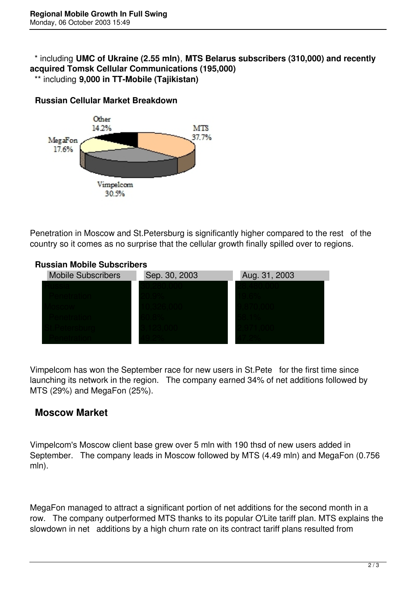## \* including **UMC of Ukraine (2.55 mln)**, **MTS Belarus subscribers (310,000) and recently acquired Tomsk Cellular Communications (195,000)** \*\* including **9,000 in TT-Mobile (Tajikistan)**



**Russian Cellular Market Breakdown**

Penetration in Moscow and St.Petersburg is significantly higher compared to the rest of the country so it comes as no surprise that the cellular growth finally spilled over to regions.

## **Russian Mobile Subscribers**



Vimpelcom has won the September race for new users in St.Pete for the first time since launching its network in the region. The company earned 34% of net additions followed by MTS (29%) and MegaFon (25%).

## **Moscow Market**

Vimpelcom's Moscow client base grew over 5 mln with 190 thsd of new users added in September. The company leads in Moscow followed by MTS (4.49 mln) and MegaFon (0.756 mln).

MegaFon managed to attract a significant portion of net additions for the second month in a row. The company outperformed MTS thanks to its popular O'Lite tariff plan. MTS explains the slowdown in net additions by a high churn rate on its contract tariff plans resulted from